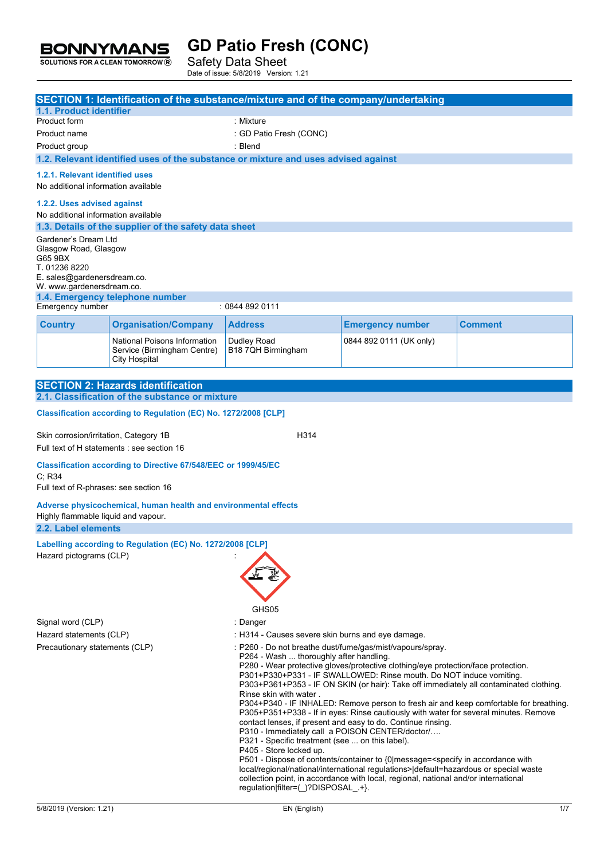Safety Data Sheet Date of issue: 5/8/2019 Version: 1.21

**BONNYMANS** SOLUTIONS FOR A CLEAN TOMORROW<sup>®</sup>

|                                                                                                          |                                                                                                          | SECTION 1: Identification of the substance/mixture and of the company/undertaking                                                                                                                                                                                                                                                                                                                                                                                                                                                                                                                                                                                                                                                                                                                                                                                                                                                                                                                                                                                 |                         |         |
|----------------------------------------------------------------------------------------------------------|----------------------------------------------------------------------------------------------------------|-------------------------------------------------------------------------------------------------------------------------------------------------------------------------------------------------------------------------------------------------------------------------------------------------------------------------------------------------------------------------------------------------------------------------------------------------------------------------------------------------------------------------------------------------------------------------------------------------------------------------------------------------------------------------------------------------------------------------------------------------------------------------------------------------------------------------------------------------------------------------------------------------------------------------------------------------------------------------------------------------------------------------------------------------------------------|-------------------------|---------|
| 1.1. Product identifier                                                                                  |                                                                                                          |                                                                                                                                                                                                                                                                                                                                                                                                                                                                                                                                                                                                                                                                                                                                                                                                                                                                                                                                                                                                                                                                   |                         |         |
| Product form                                                                                             |                                                                                                          | : Mixture                                                                                                                                                                                                                                                                                                                                                                                                                                                                                                                                                                                                                                                                                                                                                                                                                                                                                                                                                                                                                                                         |                         |         |
| Product name                                                                                             |                                                                                                          | : GD Patio Fresh (CONC)                                                                                                                                                                                                                                                                                                                                                                                                                                                                                                                                                                                                                                                                                                                                                                                                                                                                                                                                                                                                                                           |                         |         |
| Product group                                                                                            |                                                                                                          | : Blend                                                                                                                                                                                                                                                                                                                                                                                                                                                                                                                                                                                                                                                                                                                                                                                                                                                                                                                                                                                                                                                           |                         |         |
|                                                                                                          |                                                                                                          | 1.2. Relevant identified uses of the substance or mixture and uses advised against                                                                                                                                                                                                                                                                                                                                                                                                                                                                                                                                                                                                                                                                                                                                                                                                                                                                                                                                                                                |                         |         |
|                                                                                                          |                                                                                                          |                                                                                                                                                                                                                                                                                                                                                                                                                                                                                                                                                                                                                                                                                                                                                                                                                                                                                                                                                                                                                                                                   |                         |         |
| 1.2.1. Relevant identified uses<br>No additional information available                                   |                                                                                                          |                                                                                                                                                                                                                                                                                                                                                                                                                                                                                                                                                                                                                                                                                                                                                                                                                                                                                                                                                                                                                                                                   |                         |         |
|                                                                                                          |                                                                                                          |                                                                                                                                                                                                                                                                                                                                                                                                                                                                                                                                                                                                                                                                                                                                                                                                                                                                                                                                                                                                                                                                   |                         |         |
| 1.2.2. Uses advised against                                                                              |                                                                                                          |                                                                                                                                                                                                                                                                                                                                                                                                                                                                                                                                                                                                                                                                                                                                                                                                                                                                                                                                                                                                                                                                   |                         |         |
| No additional information available                                                                      |                                                                                                          |                                                                                                                                                                                                                                                                                                                                                                                                                                                                                                                                                                                                                                                                                                                                                                                                                                                                                                                                                                                                                                                                   |                         |         |
|                                                                                                          | 1.3. Details of the supplier of the safety data sheet                                                    |                                                                                                                                                                                                                                                                                                                                                                                                                                                                                                                                                                                                                                                                                                                                                                                                                                                                                                                                                                                                                                                                   |                         |         |
| Gardener's Dream Ltd<br>Glasgow Road, Glasgow<br>G65 9BX<br>T. 01236 8220<br>E. sales@gardenersdream.co. |                                                                                                          |                                                                                                                                                                                                                                                                                                                                                                                                                                                                                                                                                                                                                                                                                                                                                                                                                                                                                                                                                                                                                                                                   |                         |         |
| W. www.gardenersdream.co.                                                                                |                                                                                                          |                                                                                                                                                                                                                                                                                                                                                                                                                                                                                                                                                                                                                                                                                                                                                                                                                                                                                                                                                                                                                                                                   |                         |         |
|                                                                                                          | 1.4. Emergency telephone number                                                                          |                                                                                                                                                                                                                                                                                                                                                                                                                                                                                                                                                                                                                                                                                                                                                                                                                                                                                                                                                                                                                                                                   |                         |         |
| Emergency number                                                                                         |                                                                                                          | : 0844 892 0111                                                                                                                                                                                                                                                                                                                                                                                                                                                                                                                                                                                                                                                                                                                                                                                                                                                                                                                                                                                                                                                   |                         |         |
| <b>Country</b>                                                                                           | <b>Organisation/Company</b>                                                                              | <b>Address</b>                                                                                                                                                                                                                                                                                                                                                                                                                                                                                                                                                                                                                                                                                                                                                                                                                                                                                                                                                                                                                                                    | <b>Emergency number</b> | Comment |
|                                                                                                          | National Poisons Information<br>Service (Birmingham Centre)<br><b>City Hospital</b>                      | Dudley Road<br>B18 7QH Birmingham                                                                                                                                                                                                                                                                                                                                                                                                                                                                                                                                                                                                                                                                                                                                                                                                                                                                                                                                                                                                                                 | 0844 892 0111 (UK only) |         |
|                                                                                                          |                                                                                                          |                                                                                                                                                                                                                                                                                                                                                                                                                                                                                                                                                                                                                                                                                                                                                                                                                                                                                                                                                                                                                                                                   |                         |         |
|                                                                                                          | <b>SECTION 2: Hazards identification</b><br>2.1. Classification of the substance or mixture              |                                                                                                                                                                                                                                                                                                                                                                                                                                                                                                                                                                                                                                                                                                                                                                                                                                                                                                                                                                                                                                                                   |                         |         |
|                                                                                                          |                                                                                                          |                                                                                                                                                                                                                                                                                                                                                                                                                                                                                                                                                                                                                                                                                                                                                                                                                                                                                                                                                                                                                                                                   |                         |         |
|                                                                                                          | Classification according to Regulation (EC) No. 1272/2008 [CLP]                                          |                                                                                                                                                                                                                                                                                                                                                                                                                                                                                                                                                                                                                                                                                                                                                                                                                                                                                                                                                                                                                                                                   |                         |         |
|                                                                                                          |                                                                                                          |                                                                                                                                                                                                                                                                                                                                                                                                                                                                                                                                                                                                                                                                                                                                                                                                                                                                                                                                                                                                                                                                   |                         |         |
| Skin corrosion/irritation, Category 1B                                                                   |                                                                                                          | H314                                                                                                                                                                                                                                                                                                                                                                                                                                                                                                                                                                                                                                                                                                                                                                                                                                                                                                                                                                                                                                                              |                         |         |
|                                                                                                          | Full text of H statements : see section 16                                                               |                                                                                                                                                                                                                                                                                                                                                                                                                                                                                                                                                                                                                                                                                                                                                                                                                                                                                                                                                                                                                                                                   |                         |         |
| $C$ ; R34                                                                                                | Classification according to Directive 67/548/EEC or 1999/45/EC<br>Full text of R-phrases: see section 16 |                                                                                                                                                                                                                                                                                                                                                                                                                                                                                                                                                                                                                                                                                                                                                                                                                                                                                                                                                                                                                                                                   |                         |         |
|                                                                                                          |                                                                                                          |                                                                                                                                                                                                                                                                                                                                                                                                                                                                                                                                                                                                                                                                                                                                                                                                                                                                                                                                                                                                                                                                   |                         |         |
| Highly flammable liquid and vapour.<br>2.2. Label elements                                               | Adverse physicochemical, human health and environmental effects                                          |                                                                                                                                                                                                                                                                                                                                                                                                                                                                                                                                                                                                                                                                                                                                                                                                                                                                                                                                                                                                                                                                   |                         |         |
|                                                                                                          |                                                                                                          |                                                                                                                                                                                                                                                                                                                                                                                                                                                                                                                                                                                                                                                                                                                                                                                                                                                                                                                                                                                                                                                                   |                         |         |
| Labelling according to Regulation (EC) No. 1272/2008 [CLP]<br>Hazard pictograms (CLP)                    |                                                                                                          |                                                                                                                                                                                                                                                                                                                                                                                                                                                                                                                                                                                                                                                                                                                                                                                                                                                                                                                                                                                                                                                                   |                         |         |
|                                                                                                          |                                                                                                          | GHS05                                                                                                                                                                                                                                                                                                                                                                                                                                                                                                                                                                                                                                                                                                                                                                                                                                                                                                                                                                                                                                                             |                         |         |
| Signal word (CLP)                                                                                        |                                                                                                          | : Danger                                                                                                                                                                                                                                                                                                                                                                                                                                                                                                                                                                                                                                                                                                                                                                                                                                                                                                                                                                                                                                                          |                         |         |
| Hazard statements (CLP)                                                                                  |                                                                                                          | : H314 - Causes severe skin burns and eye damage.                                                                                                                                                                                                                                                                                                                                                                                                                                                                                                                                                                                                                                                                                                                                                                                                                                                                                                                                                                                                                 |                         |         |
| Precautionary statements (CLP)                                                                           |                                                                                                          | : P260 - Do not breathe dust/fume/gas/mist/vapours/spray.<br>P264 - Wash  thoroughly after handling.<br>P280 - Wear protective gloves/protective clothing/eye protection/face protection.<br>P301+P330+P331 - IF SWALLOWED: Rinse mouth. Do NOT induce vomiting.<br>P303+P361+P353 - IF ON SKIN (or hair): Take off immediately all contaminated clothing.<br>Rinse skin with water.<br>P304+P340 - IF INHALED: Remove person to fresh air and keep comfortable for breathing.<br>P305+P351+P338 - If in eyes: Rinse cautiously with water for several minutes. Remove<br>contact lenses, if present and easy to do. Continue rinsing.<br>P310 - Immediately call a POISON CENTER/doctor/<br>P321 - Specific treatment (see  on this label).<br>P405 - Store locked up.<br>P501 - Dispose of contents/container to {0 message= <specify accordance="" in="" with<br="">local/regional/national/international regulations&gt; default=hazardous or special waste<br/>collection point, in accordance with local, regional, national and/or international</specify> |                         |         |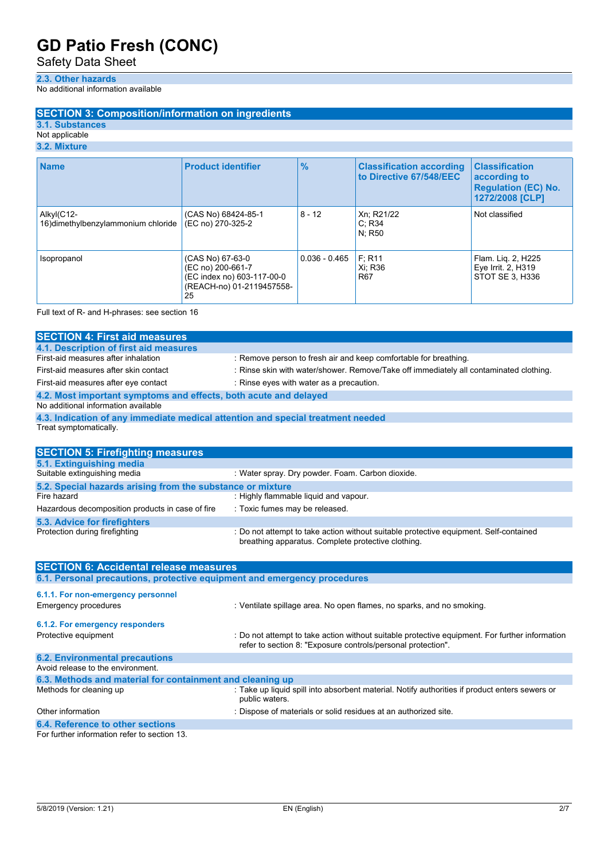Safety Data Sheet

#### **2.3. Other hazards**

No additional information available

## **SECTION 3: Composition/information on ingredients**

**3.1. Substances**

## Not applicable

## **3.2. Mixture**

| <b>Name</b>                                       | <b>Product identifier</b>                                                                              | $\frac{0}{0}$   | <b>Classification according</b><br>to Directive 67/548/EEC | <b>Classification</b><br>according to<br><b>Regulation (EC) No.</b><br>1272/2008 [CLP] |
|---------------------------------------------------|--------------------------------------------------------------------------------------------------------|-----------------|------------------------------------------------------------|----------------------------------------------------------------------------------------|
| Alkyl(C12-<br>16) dimethylbenzylammonium chloride | (CAS No) 68424-85-1<br>(EC no) 270-325-2                                                               | $8 - 12$        | Xn; R21/22<br>C: R34<br>N: R50                             | Not classified                                                                         |
| Isopropanol                                       | (CAS No) 67-63-0<br>(EC no) 200-661-7<br>(EC index no) 603-117-00-0<br>(REACH-no) 01-2119457558-<br>25 | $0.036 - 0.465$ | F: R11<br>Xi: R36<br>R <sub>67</sub>                       | Flam. Lig. 2, H225<br>Eye Irrit. 2, H319<br>STOT SE 3. H336                            |

Full text of R- and H-phrases: see section 16

| <b>SECTION 4: First aid measures</b>                                            |                                                                                        |  |
|---------------------------------------------------------------------------------|----------------------------------------------------------------------------------------|--|
| 4.1. Description of first aid measures                                          |                                                                                        |  |
| First-aid measures after inhalation                                             | : Remove person to fresh air and keep comfortable for breathing.                       |  |
| First-aid measures after skin contact                                           | : Rinse skin with water/shower. Remove/Take off immediately all contaminated clothing. |  |
| First-aid measures after eye contact                                            | : Rinse eyes with water as a precaution.                                               |  |
| 4.2. Most important symptoms and effects, both acute and delayed                |                                                                                        |  |
| No additional information available                                             |                                                                                        |  |
| 4.3. Indication of any immediate medical attention and special treatment needed |                                                                                        |  |
| Treat symptomatically.                                                          |                                                                                        |  |
|                                                                                 |                                                                                        |  |

| <b>SECTION 5: Firefighting measures</b>                    |                                                                                                                                             |  |  |
|------------------------------------------------------------|---------------------------------------------------------------------------------------------------------------------------------------------|--|--|
| 5.1. Extinguishing media                                   |                                                                                                                                             |  |  |
| Suitable extinguishing media                               | : Water spray. Dry powder. Foam. Carbon dioxide.                                                                                            |  |  |
| 5.2. Special hazards arising from the substance or mixture |                                                                                                                                             |  |  |
| Fire hazard                                                | : Highly flammable liquid and vapour.                                                                                                       |  |  |
| Hazardous decomposition products in case of fire           | : Toxic fumes may be released.                                                                                                              |  |  |
| 5.3. Advice for firefighters                               |                                                                                                                                             |  |  |
| Protection during firefighting                             | : Do not attempt to take action without suitable protective equipment. Self-contained<br>breathing apparatus. Complete protective clothing. |  |  |

| <b>SECTION 6: Accidental release measures</b>                            |                                                                                                                                                                |  |
|--------------------------------------------------------------------------|----------------------------------------------------------------------------------------------------------------------------------------------------------------|--|
| 6.1. Personal precautions, protective equipment and emergency procedures |                                                                                                                                                                |  |
| 6.1.1. For non-emergency personnel<br>Emergency procedures               | : Ventilate spillage area. No open flames, no sparks, and no smoking.                                                                                          |  |
| 6.1.2. For emergency responders                                          |                                                                                                                                                                |  |
| Protective equipment                                                     | : Do not attempt to take action without suitable protective equipment. For further information<br>refer to section 8: "Exposure controls/personal protection". |  |
| <b>6.2. Environmental precautions</b>                                    |                                                                                                                                                                |  |
| Avoid release to the environment.                                        |                                                                                                                                                                |  |
| 6.3. Methods and material for containment and cleaning up                |                                                                                                                                                                |  |
| Methods for cleaning up                                                  | : Take up liquid spill into absorbent material. Notify authorities if product enters sewers or<br>public waters.                                               |  |
| Other information                                                        | : Dispose of materials or solid residues at an authorized site.                                                                                                |  |
| 6.4. Reference to other sections                                         |                                                                                                                                                                |  |

For further information refer to section 13.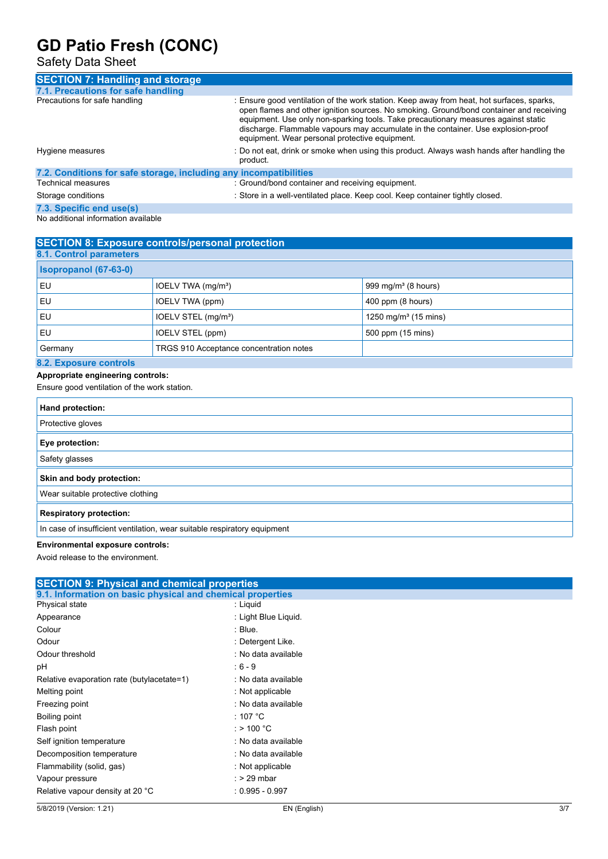Safety Data Sheet

| <b>SECTION 7: Handling and storage</b>                            |                                                                                                                                                                                                                                                                                                                                                                                                                   |  |
|-------------------------------------------------------------------|-------------------------------------------------------------------------------------------------------------------------------------------------------------------------------------------------------------------------------------------------------------------------------------------------------------------------------------------------------------------------------------------------------------------|--|
| 7.1. Precautions for safe handling                                |                                                                                                                                                                                                                                                                                                                                                                                                                   |  |
| Precautions for safe handling                                     | : Ensure good ventilation of the work station. Keep away from heat, hot surfaces, sparks,<br>open flames and other ignition sources. No smoking. Ground/bond container and receiving<br>equipment. Use only non-sparking tools. Take precautionary measures against static<br>discharge. Flammable vapours may accumulate in the container. Use explosion-proof<br>equipment. Wear personal protective equipment. |  |
| Hygiene measures                                                  | : Do not eat, drink or smoke when using this product. Always wash hands after handling the<br>product.                                                                                                                                                                                                                                                                                                            |  |
| 7.2. Conditions for safe storage, including any incompatibilities |                                                                                                                                                                                                                                                                                                                                                                                                                   |  |
| Technical measures                                                | : Ground/bond container and receiving equipment.                                                                                                                                                                                                                                                                                                                                                                  |  |
| Storage conditions                                                | : Store in a well-ventilated place. Keep cool. Keep container tightly closed.                                                                                                                                                                                                                                                                                                                                     |  |
| 7.3. Specific end use(s)                                          |                                                                                                                                                                                                                                                                                                                                                                                                                   |  |

No additional information available

| <b>SECTION 8: Exposure controls/personal protection</b> |                                         |                                  |
|---------------------------------------------------------|-----------------------------------------|----------------------------------|
| <b>8.1. Control parameters</b>                          |                                         |                                  |
| Isopropanol (67-63-0)                                   |                                         |                                  |
| EU                                                      | IOELV TWA (mg/m <sup>3</sup> )          | 999 mg/m <sup>3</sup> (8 hours)  |
| EU                                                      | IOELV TWA (ppm)                         | 400 ppm (8 hours)                |
| EU                                                      | IOELV STEL (mg/m <sup>3</sup> )         | 1250 mg/m <sup>3</sup> (15 mins) |
| EU                                                      | IOELV STEL (ppm)                        | 500 ppm (15 mins)                |
| Germany                                                 | TRGS 910 Acceptance concentration notes |                                  |
| 8.2 Exposure controls                                   |                                         |                                  |

## **8.2. Exposure controls**

# **Appropriate engineering controls:**

Ensure good ventilation of the work station.

| Hand protection:                                                         |
|--------------------------------------------------------------------------|
| Protective gloves                                                        |
| Eye protection:                                                          |
| Safety glasses                                                           |
| Skin and body protection:                                                |
| Wear suitable protective clothing                                        |
| <b>Respiratory protection:</b>                                           |
| In case of insufficient ventilation, wear suitable respiratory equipment |

## **Environmental exposure controls:**

Avoid release to the environment.

| <b>SECTION 9: Physical and chemical properties</b>         |                      |  |  |
|------------------------------------------------------------|----------------------|--|--|
| 9.1. Information on basic physical and chemical properties |                      |  |  |
| Physical state                                             | : Liquid             |  |  |
| Appearance                                                 | : Light Blue Liquid. |  |  |
| Colour                                                     | : Blue.              |  |  |
| Odour                                                      | : Detergent Like.    |  |  |
| Odour threshold                                            | : No data available  |  |  |
| рH                                                         | $: 6 - 9$            |  |  |
| Relative evaporation rate (butylacetate=1)                 | : No data available  |  |  |
| Melting point                                              | : Not applicable     |  |  |
| Freezing point                                             | : No data available  |  |  |
| Boiling point                                              | : 107 °C             |  |  |
| Flash point                                                | : > 100 $^{\circ}$ C |  |  |
| Self ignition temperature                                  | : No data available  |  |  |
| Decomposition temperature                                  | : No data available  |  |  |
| Flammability (solid, gas)                                  | : Not applicable     |  |  |
| Vapour pressure                                            | $:$ > 29 mbar        |  |  |
| Relative vapour density at 20 °C                           | $: 0.995 - 0.997$    |  |  |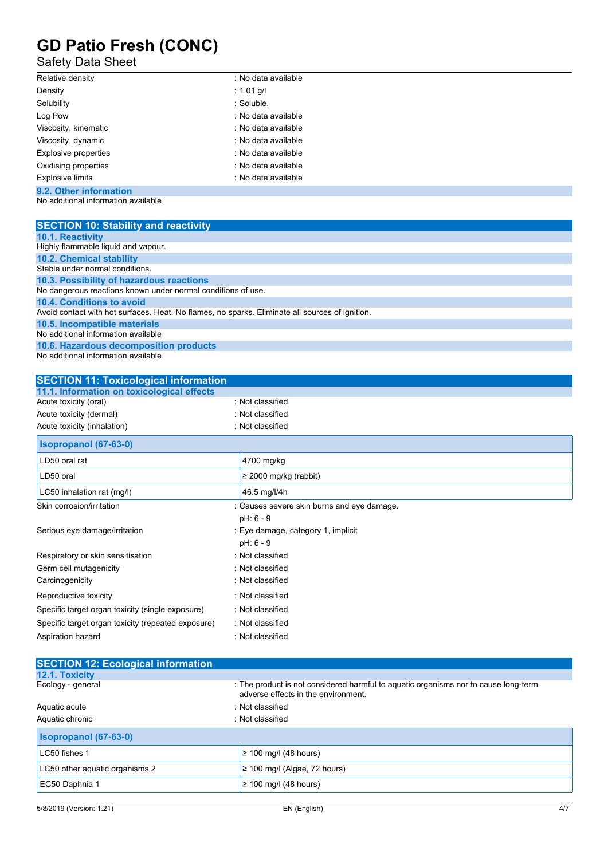## Safety Data Sheet

| Relative density        | : No data available |  |
|-------------------------|---------------------|--|
| Density                 | : 1.01 g/l          |  |
| Solubility              | : Soluble.          |  |
| Log Pow                 | : No data available |  |
| Viscosity, kinematic    | : No data available |  |
| Viscosity, dynamic      | : No data available |  |
| Explosive properties    | : No data available |  |
| Oxidising properties    | : No data available |  |
| <b>Explosive limits</b> | : No data available |  |
| 9.2. Other information  |                     |  |

No additional information available

| <b>SECTION 10: Stability and reactivity</b>                                                     |
|-------------------------------------------------------------------------------------------------|
| <b>10.1. Reactivity</b>                                                                         |
| Highly flammable liquid and vapour.                                                             |
| <b>10.2. Chemical stability</b>                                                                 |
| Stable under normal conditions.                                                                 |
| 10.3. Possibility of hazardous reactions                                                        |
| No dangerous reactions known under normal conditions of use.                                    |
| 10.4. Conditions to avoid                                                                       |
| Avoid contact with hot surfaces. Heat. No flames, no sparks. Eliminate all sources of ignition. |
| 10.5. Incompatible materials                                                                    |
| No additional information available                                                             |
| 10.6. Hazardous decomposition products                                                          |
| No additional information available                                                             |

| <b>SECTION 11: Toxicological information</b>       |                                            |
|----------------------------------------------------|--------------------------------------------|
| 11.1. Information on toxicological effects         |                                            |
| Acute toxicity (oral)                              | : Not classified                           |
| Acute toxicity (dermal)                            | : Not classified                           |
| Acute toxicity (inhalation)                        | : Not classified                           |
| Isopropanol (67-63-0)                              |                                            |
| LD50 oral rat                                      | 4700 mg/kg                                 |
| LD50 oral                                          | $\geq$ 2000 mg/kg (rabbit)                 |
| LC50 inhalation rat (mg/l)                         | 46.5 mg/l/4h                               |
| Skin corrosion/irritation                          | : Causes severe skin burns and eye damage. |
|                                                    | pH: 6 - 9                                  |
| Serious eye damage/irritation                      | : Eye damage, category 1, implicit         |
|                                                    | pH: 6 - 9                                  |
| Respiratory or skin sensitisation                  | : Not classified                           |
| Germ cell mutagenicity                             | : Not classified                           |
| Carcinogenicity                                    | : Not classified                           |
| Reproductive toxicity                              | : Not classified                           |
| Specific target organ toxicity (single exposure)   | : Not classified                           |
| Specific target organ toxicity (repeated exposure) | : Not classified                           |
| Aspiration hazard                                  | : Not classified                           |

| <b>SECTION 12: Ecological information</b> |                                                                                                                            |
|-------------------------------------------|----------------------------------------------------------------------------------------------------------------------------|
| 12.1. Toxicity                            |                                                                                                                            |
| Ecology - general                         | : The product is not considered harmful to aquatic organisms nor to cause long-term<br>adverse effects in the environment. |
| Aquatic acute                             | : Not classified                                                                                                           |
| Aquatic chronic                           | : Not classified                                                                                                           |
| Isopropanol (67-63-0)                     |                                                                                                                            |
| LC50 fishes 1                             | $\geq$ 100 mg/l (48 hours)                                                                                                 |
| LC50 other aquatic organisms 2            | $\geq$ 100 mg/l (Algae, 72 hours)                                                                                          |
| EC50 Daphnia 1                            | $\geq$ 100 mg/l (48 hours)                                                                                                 |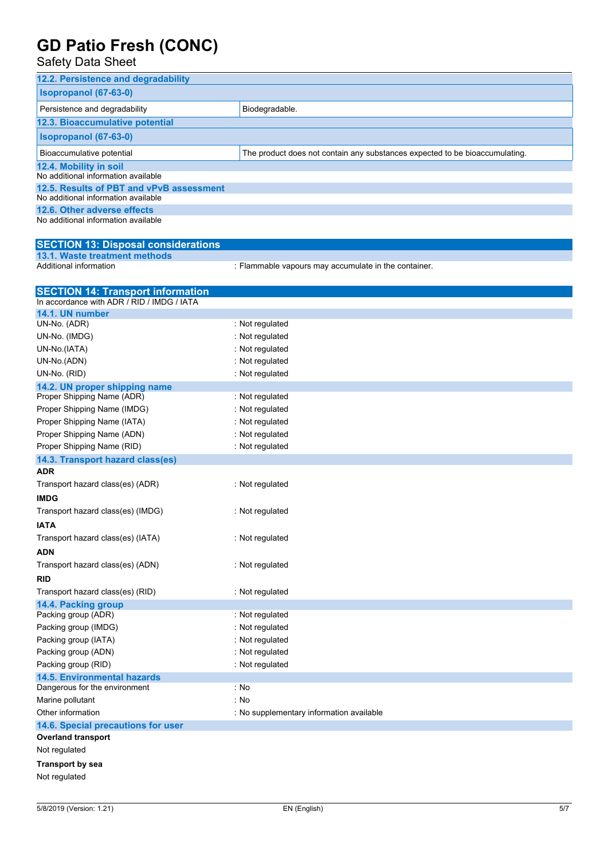| <b>UD PAIIO FIESII (UUNU)</b><br><b>Safety Data Sheet</b>     |                                                                             |
|---------------------------------------------------------------|-----------------------------------------------------------------------------|
| 12.2. Persistence and degradability                           |                                                                             |
| Isopropanol (67-63-0)                                         |                                                                             |
| Persistence and degradability                                 | Biodegradable.                                                              |
| 12.3. Bioaccumulative potential                               |                                                                             |
| <b>Isopropanol (67-63-0)</b>                                  |                                                                             |
| Bioaccumulative potential                                     | The product does not contain any substances expected to be bioaccumulating. |
| 12.4. Mobility in soil<br>No additional information available |                                                                             |
| 12.5. Results of PBT and vPvB assessment                      |                                                                             |
| No additional information available                           |                                                                             |
| 12.6. Other adverse effects                                   |                                                                             |
| No additional information available                           |                                                                             |
| <b>SECTION 13: Disposal considerations</b>                    |                                                                             |
| 13.1. Waste treatment methods                                 |                                                                             |
| Additional information                                        | : Flammable vapours may accumulate in the container.                        |
| <b>SECTION 14: Transport information</b>                      |                                                                             |
| In accordance with ADR / RID / IMDG / IATA                    |                                                                             |
| 14.1. UN number                                               |                                                                             |
| UN-No. (ADR)                                                  | : Not regulated                                                             |
| UN-No. (IMDG)                                                 | : Not regulated                                                             |
| UN-No.(IATA)<br>UN-No.(ADN)                                   | : Not regulated<br>: Not regulated                                          |
| UN-No. (RID)                                                  | : Not regulated                                                             |
| 14.2. UN proper shipping name                                 |                                                                             |
| Proper Shipping Name (ADR)                                    | : Not regulated                                                             |
| Proper Shipping Name (IMDG)                                   | : Not regulated                                                             |
| Proper Shipping Name (IATA)                                   | : Not regulated                                                             |
| Proper Shipping Name (ADN)                                    | : Not regulated                                                             |
| Proper Shipping Name (RID)                                    | : Not regulated                                                             |
| 14.3. Transport hazard class(es)                              |                                                                             |
| <b>ADR</b>                                                    |                                                                             |
| Transport hazard class(es) (ADR)                              | : Not regulated                                                             |
| <b>IMDG</b>                                                   |                                                                             |
| Transport hazard class(es) (IMDG)                             | : Not regulated                                                             |
| <b>IATA</b>                                                   |                                                                             |
| Transport hazard class(es) (IATA)                             | : Not regulated                                                             |
| ADN                                                           |                                                                             |
| Transport hazard class(es) (ADN)                              | : Not regulated                                                             |
| <b>RID</b>                                                    |                                                                             |
| Transport hazard class(es) (RID)                              | : Not regulated                                                             |

**Overland transport** Not regulated **Transport by sea**

**14.4. Packing group**

**14.5. Environmental hazards**

**14.6. Special precautions for user**

Packing group (ADR) **in the case of the contract of the contract of the contract of the contract of the contract o** Packing group (IMDG) **interest and all analytic sets** : Not regulated Packing group (IATA) **interest and all analytic setting** and all and setting  $\mathbf{Q}$  in  $\mathbf{Q}$  . Not regulated Packing group (ADN) **in the case of the case of the case of the case of the case of the case of the case of the case of the case of the case of the case of the case of the case of the case of the case of the case of the ca** Packing group (RID) **interest and the Contract Contract Contract Contract Contract Contract Contract Contract Contract Contract Contract Contract Contract Contract Contract Contract Contract Contract Contract Contract Cont** 

Other information **COLOGY COLOGY COLOGY COLOGY COLOGY COLOGY COLOGY COLOGY COLOGY COLOGY COLOGY COLOGY COLOGY COLOGY COLOGY COLOGY COLOGY COLOGY COLOGY COLOGY COLOGY COLOGY COLOG** 

Dangerous for the environment : No Marine pollutant : No

Not regulated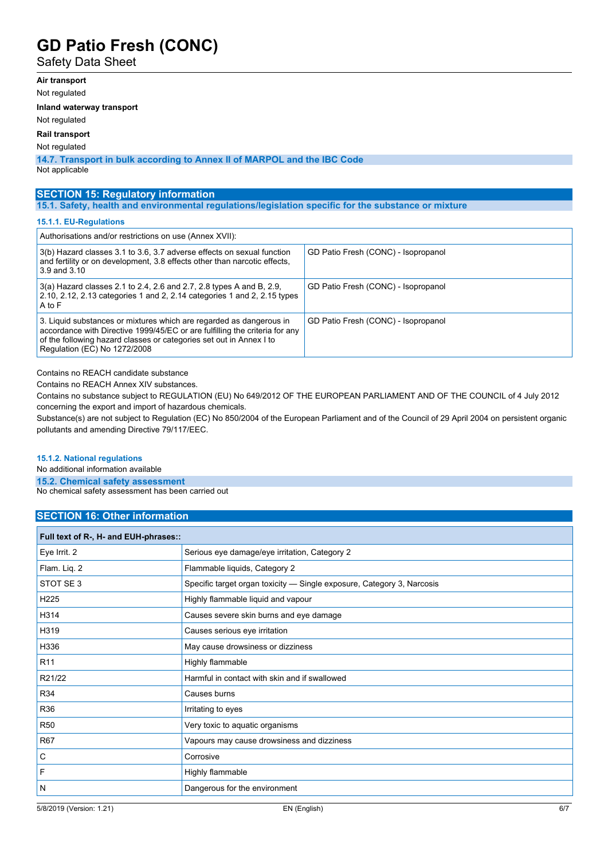Safety Data Sheet

## **Air transport**

Not regulated

**Inland waterway transport**

Not regulated

**Rail transport**

Not regulated

**14.7. Transport in bulk according to Annex II of MARPOL and the IBC Code** Not applicable

**SECTION 15: Regulatory information**

**15.1. Safety, health and environmental regulations/legislation specific for the substance or mixture**

#### **15.1.1. EU-Regulations**

| Authorisations and/or restrictions on use (Annex XVII):                                                                                                                                                                                                   |                                     |
|-----------------------------------------------------------------------------------------------------------------------------------------------------------------------------------------------------------------------------------------------------------|-------------------------------------|
| 3(b) Hazard classes 3.1 to 3.6, 3.7 adverse effects on sexual function<br>and fertility or on development, 3.8 effects other than narcotic effects,<br>3.9 and 3.10                                                                                       | GD Patio Fresh (CONC) - Isopropanol |
| 3(a) Hazard classes 2.1 to 2.4, 2.6 and 2.7, 2.8 types A and B, 2.9,<br>2.10, 2.12, 2.13 categories 1 and 2, 2.14 categories 1 and 2, 2.15 types<br>A to F                                                                                                | GD Patio Fresh (CONC) - Isopropanol |
| 3. Liquid substances or mixtures which are regarded as dangerous in<br>accordance with Directive 1999/45/EC or are fulfilling the criteria for any<br>of the following hazard classes or categories set out in Annex I to<br>Regulation (EC) No 1272/2008 | GD Patio Fresh (CONC) - Isopropanol |

Contains no REACH candidate substance

Contains no REACH Annex XIV substances.

Contains no substance subject to REGULATION (EU) No 649/2012 OF THE EUROPEAN PARLIAMENT AND OF THE COUNCIL of 4 July 2012 concerning the export and import of hazardous chemicals.

Substance(s) are not subject to Regulation (EC) No 850/2004 of the European Parliament and of the Council of 29 April 2004 on persistent organic pollutants and amending Directive 79/117/EEC.

#### **15.1.2. National regulations**

No additional information available

**15.2. Chemical safety assessment**

No chemical safety assessment has been carried out

## **SECTION 16: Other information**

| Full text of R-, H- and EUH-phrases:: |                                                                        |  |
|---------------------------------------|------------------------------------------------------------------------|--|
| Eye Irrit. 2                          | Serious eye damage/eye irritation, Category 2                          |  |
| Flam. Liq. 2                          | Flammable liquids, Category 2                                          |  |
| STOT SE3                              | Specific target organ toxicity — Single exposure, Category 3, Narcosis |  |
| H <sub>225</sub>                      | Highly flammable liquid and vapour                                     |  |
| H314                                  | Causes severe skin burns and eye damage                                |  |
| H319                                  | Causes serious eye irritation                                          |  |
| H336                                  | May cause drowsiness or dizziness                                      |  |
| R <sub>11</sub>                       | Highly flammable                                                       |  |
| R21/22                                | Harmful in contact with skin and if swallowed                          |  |
| <b>R34</b>                            | Causes burns                                                           |  |
| R36                                   | Irritating to eyes                                                     |  |
| <b>R50</b>                            | Very toxic to aquatic organisms                                        |  |
| <b>R67</b>                            | Vapours may cause drowsiness and dizziness                             |  |
| C                                     | Corrosive                                                              |  |
| F                                     | Highly flammable                                                       |  |
| N                                     | Dangerous for the environment                                          |  |